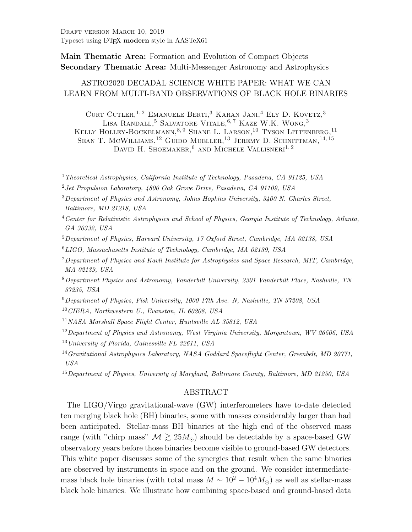DRAFT VERSION MARCH 10, 2019 Typeset using LATEX modern style in AASTeX61

Main Thematic Area: Formation and Evolution of Compact Objects Secondary Thematic Area: Multi-Messenger Astronomy and Astrophysics

# ASTRO2020 DECADAL SCIENCE WHITE PAPER: WHAT WE CAN LEARN FROM MULTI-BAND OBSERVATIONS OF BLACK HOLE BINARIES

CURT CUTLER,<sup>1, 2</sup> EMANUELE BERTI,<sup>3</sup> KARAN JANI,<sup>4</sup> ELY D. KOVETZ,<sup>3</sup> LISA RANDALL, <sup>5</sup> SALVATORE VITALE, <sup>6, 7</sup> KAZE W.K. WONG,<sup>3</sup> KELLY HOLLEY-BOCKELMANN,  $8, 9$  SHANE L. LARSON, <sup>10</sup> TYSON LITTENBERG, <sup>11</sup> SEAN T. MCWILLIAMS,<sup>12</sup> GUIDO MUELLER,<sup>13</sup> JEREMY D. SCHNITTMAN,<sup>14,15</sup> DAVID H. SHOEMAKER,  $6$  and Michele Vallisneri<sup>1, 2</sup>

<sup>1</sup> Theoretical Astrophysics, California Institute of Technology, Pasadena, CA 91125, USA

<sup>2</sup>Jet Propulsion Laboratory, 4800 Oak Grove Drive, Pasadena, CA 91109, USA

 $3$ Department of Physics and Astronomy, Johns Hopkins University,  $3400$  N. Charles Street, Baltimore, MD 21218, USA

<sup>4</sup>Center for Relativistic Astrophysics and School of Physics, Georgia Institute of Technology, Atlanta, GA 30332, USA

<sup>5</sup>Department of Physics, Harvard University, 17 Oxford Street, Cambridge, MA 02138, USA

<sup>6</sup>LIGO, Massachusetts Institute of Technology, Cambridge, MA 02139, USA

<sup>7</sup>Department of Physics and Kavli Institute for Astrophysics and Space Research, MIT, Cambridge, MA 02139, USA

<sup>8</sup>Department Physics and Astronomy, Vanderbilt University, 2301 Vanderbilt Place, Nashville, TN 37235, USA

<sup>9</sup>Department of Physics, Fisk University, 1000 17th Ave. N, Nashville, TN 37208, USA

<sup>10</sup>CIERA, Northwestern U., Evanston, IL 60208, USA

<sup>11</sup>NASA Marshall Space Flight Center, Huntsville AL 35812, USA

<sup>12</sup>Department of Physics and Astronomy, West Virginia University, Morgantown, WV 26506, USA  $13$  University of Florida, Gainesville FL 32611, USA

<sup>14</sup> Gravitational Astrophysics Laboratory, NASA Goddard Spaceflight Center, Greenbelt, MD 20771, USA

<sup>15</sup> Department of Physics, University of Maryland, Baltimore County, Baltimore, MD 21250, USA

## ABSTRACT

The LIGO/Virgo gravitational-wave (GW) interferometers have to-date detected ten merging black hole (BH) binaries, some with masses considerably larger than had been anticipated. Stellar-mass BH binaries at the high end of the observed mass range (with "chirp mass"  $\mathcal{M} \geq 25 M_{\odot}$ ) should be detectable by a space-based GW observatory years before those binaries become visible to ground-based GW detectors. This white paper discusses some of the synergies that result when the same binaries are observed by instruments in space and on the ground. We consider intermediatemass black hole binaries (with total mass  $M \sim 10^2 - 10^4 M_{\odot}$ ) as well as stellar-mass black hole binaries. We illustrate how combining space-based and ground-based data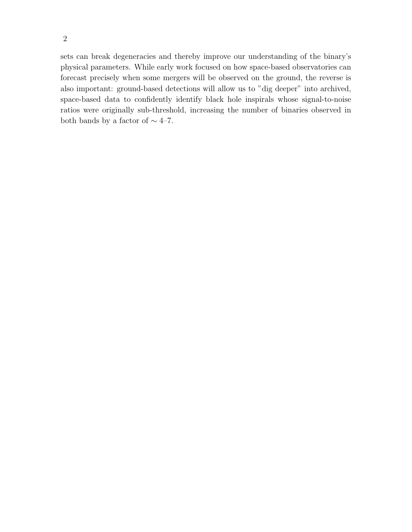sets can break degeneracies and thereby improve our understanding of the binary's physical parameters. While early work focused on how space-based observatories can forecast precisely when some mergers will be observed on the ground, the reverse is also important: ground-based detections will allow us to "dig deeper" into archived, space-based data to confidently identify black hole inspirals whose signal-to-noise ratios were originally sub-threshold, increasing the number of binaries observed in both bands by a factor of  $\sim$  4–7.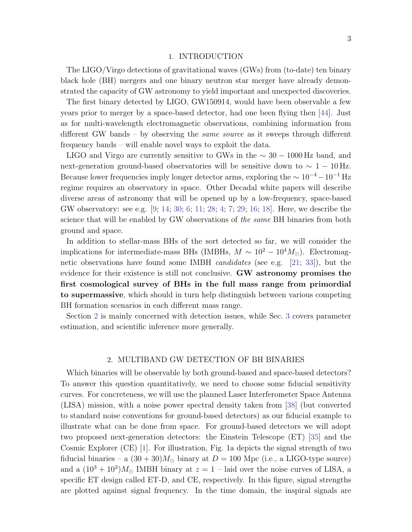#### 1. INTRODUCTION

The LIGO/Virgo detections of gravitational waves (GWs) from (to-date) ten binary black hole (BH) mergers and one binary neutron star merger have already demonstrated the capacity of GW astronomy to yield important and unexpected discoveries.

The first binary detected by LIGO, GW150914, would have been observable a few years prior to merger by a space-based detector, had one been flying then [\[44\]](#page-8-0). Just as for multi-wavelength electromagnetic observations, combining information from different GW bands – by observing the *same source* as it sweeps through different frequency bands – will enable novel ways to exploit the data.

LIGO and Virgo are currently sensitive to GWs in the  $\sim 30 - 1000$  Hz band, and next-generation ground-based observatories will be sensitive down to  $\sim 1-10\,\mathrm{Hz}$ . Because lower frequencies imply longer detector arms, exploring the  $\sim 10^{-4} - 10^{-1}$  Hz regime requires an observatory in space. Other Decadal white papers will describe diverse areas of astronomy that will be opened up by a low-frequency, space-based GW observatory: see e.g. [\[9;](#page-7-0) [14;](#page-7-1) [30;](#page-7-2) [6;](#page-7-3) [11;](#page-7-4) [28;](#page-7-5) [4;](#page-7-6) [7;](#page-7-7) [29;](#page-7-8) [16;](#page-7-9) [18\]](#page-7-10). Here, we describe the science that will be enabled by GW observations of the same BH binaries from both ground and space.

In addition to stellar-mass BHs of the sort detected so far, we will consider the implications for intermediate-mass BHs (IMBHs,  $M \sim 10^2 - 10^4 M_{\odot}$ ). Electromagnetic observations have found some IMBH *candidates* (see e.g. [\[21;](#page-7-11) [33\]](#page-7-12)), but the evidence for their existence is still not conclusive. GW astronomy promises the first cosmological survey of BHs in the full mass range from primordial to supermassive, which should in turn help distinguish between various competing BH formation scenarios in each different mass range.

Section [2](#page-2-0) is mainly concerned with detection issues, while Sec. [3](#page-4-0) covers parameter estimation, and scientific inference more generally.

## 2. MULTIBAND GW DETECTION OF BH BINARIES

<span id="page-2-0"></span>Which binaries will be observable by both ground-based and space-based detectors? To answer this question quantitatively, we need to choose some fiducial sensitivity curves. For concreteness, we will use the planned Laser Interferometer Space Antenna (LISA) mission, with a noise power spectral density taken from [\[38\]](#page-8-1) (but converted to standard noise conventions for ground-based detectors) as our fiducial example to illustrate what can be done from space. For ground-based detectors we will adopt two proposed next-generation detectors: the Einstein Telescope (ET) [\[35\]](#page-8-2) and the Cosmic Explorer (CE) [\[1\]](#page-7-13). For illustration, Fig. 1a depicts the signal strength of two fiducial binaries – a  $(30+30)M_{\odot}$  binary at  $D=100$  Mpc (i.e., a LIGO-type source) and a  $(10^3 + 10^3)M_{\odot}$  IMBH binary at  $z = 1$  – laid over the noise curves of LISA, a specific ET design called ET-D, and CE, respectively. In this figure, signal strengths are plotted against signal frequency. In the time domain, the inspiral signals are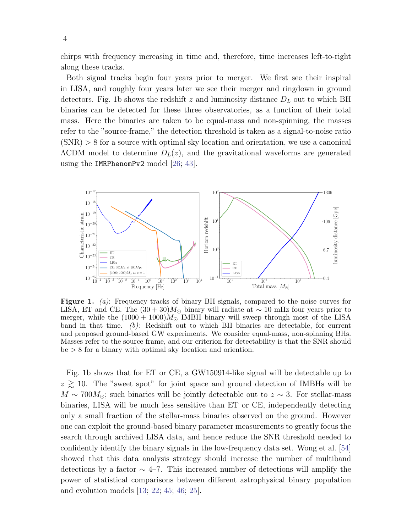chirps with frequency increasing in time and, therefore, time increases left-to-right along these tracks.

Both signal tracks begin four years prior to merger. We first see their inspiral in LISA, and roughly four years later we see their merger and ringdown in ground detectors. Fig. 1b shows the redshift z and luminosity distance  $D<sub>L</sub>$  out to which BH binaries can be detected for these three observatories, as a function of their total mass. Here the binaries are taken to be equal-mass and non-spinning, the masses refer to the "source-frame," the detection threshold is taken as a signal-to-noise ratio  $(SNR) > 8$  for a source with optimal sky location and orientation, we use a canonical  $\Lambda$ CDM model to determine  $D<sub>L</sub>(z)$ , and the gravitational waveforms are generated using the IMRPhenomPv2 model [\[26;](#page-7-14) [43\]](#page-8-3).



**Figure 1.** (a): Frequency tracks of binary BH signals, compared to the noise curves for LISA, ET and CE. The  $(30 + 30)M_{\odot}$  binary will radiate at ~ 10 mHz four years prior to merger, while the  $(1000 + 1000)M<sub>o</sub>$  IMBH binary will sweep through most of the LISA band in that time.  $(b)$ : Redshift out to which BH binaries are detectable, for current and proposed ground-based GW experiments. We consider equal-mass, non-spinning BHs. Masses refer to the source frame, and our criterion for detectability is that the SNR should be > 8 for a binary with optimal sky location and oriention.

Fig. 1b shows that for ET or CE, a GW150914-like signal will be detectable up to  $z \geq 10$ . The "sweet spot" for joint space and ground detection of IMBHs will be  $M \sim 700 M_{\odot}$ ; such binaries will be jointly detectable out to  $z \sim 3$ . For stellar-mass binaries, LISA will be much less sensitive than ET or CE, independently detecting only a small fraction of the stellar-mass binaries observed on the ground. However one can exploit the ground-based binary parameter measurements to greatly focus the search through archived LISA data, and hence reduce the SNR threshold needed to confidently identify the binary signals in the low-frequency data set. Wong et al. [\[54\]](#page-8-4) showed that this data analysis strategy should increase the number of multiband detections by a factor  $\sim$  4–7. This increased number of detections will amplify the power of statistical comparisons between different astrophysical binary population and evolution models [\[13;](#page-7-15) [22;](#page-7-16) [45;](#page-8-5) [46;](#page-8-6) [25\]](#page-7-17).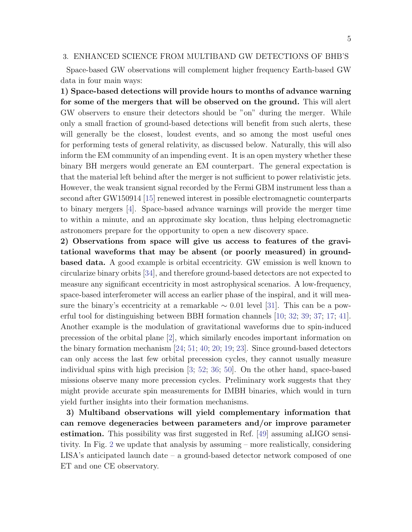### <span id="page-4-0"></span>3. ENHANCED SCIENCE FROM MULTIBAND GW DETECTIONS OF BHB'S

Space-based GW observations will complement higher frequency Earth-based GW data in four main ways:

1) Space-based detections will provide hours to months of advance warning for some of the mergers that will be observed on the ground. This will alert GW observers to ensure their detectors should be "on" during the merger. While only a small fraction of ground-based detections will benefit from such alerts, these will generally be the closest, loudest events, and so among the most useful ones for performing tests of general relativity, as discussed below. Naturally, this will also inform the EM community of an impending event. It is an open mystery whether these binary BH mergers would generate an EM counterpart. The general expectation is that the material left behind after the merger is not sufficient to power relativistic jets. However, the weak transient signal recorded by the Fermi GBM instrument less than a second after GW150914 [\[15\]](#page-7-18) renewed interest in possible electromagnetic counterparts to binary mergers [\[4\]](#page-7-6). Space-based advance warnings will provide the merger time to within a minute, and an approximate sky location, thus helping electromagnetic astronomers prepare for the opportunity to open a new discovery space.

2) Observations from space will give us access to features of the gravitational waveforms that may be absent (or poorly measured) in groundbased data. A good example is orbital eccentricity. GW emission is well known to circularize binary orbits [\[34\]](#page-8-7), and therefore ground-based detectors are not expected to measure any significant eccentricity in most astrophysical scenarios. A low-frequency, space-based interferometer will access an earlier phase of the inspiral, and it will measure the binary's eccentricity at a remarkable  $\sim 0.01$  level [\[31\]](#page-7-19). This can be a powerful tool for distinguishing between BBH formation channels [\[10;](#page-7-20) [32;](#page-7-21) [39;](#page-8-8) [37;](#page-8-9) [17;](#page-7-22) [41\]](#page-8-10). Another example is the modulation of gravitational waveforms due to spin-induced precession of the orbital plane [\[2\]](#page-7-23), which similarly encodes important information on the binary formation mechanism [\[24;](#page-7-24) [51;](#page-8-11) [40;](#page-8-12) [20;](#page-7-25) [19;](#page-7-26) [23\]](#page-7-27). Since ground-based detectors can only access the last few orbital precession cycles, they cannot usually measure individual spins with high precision [\[3;](#page-7-28) [52;](#page-8-13) [36;](#page-8-14) [50\]](#page-8-15). On the other hand, space-based missions observe many more precession cycles. Preliminary work suggests that they might provide accurate spin measurements for IMBH binaries, which would in turn yield further insights into their formation mechanisms.

3) Multiband observations will yield complementary information that can remove degeneracies between parameters and/or improve parameter estimation. This possibility was first suggested in Ref. [\[49\]](#page-8-16) assuming aLIGO sensitivity. In Fig. [2](#page-5-0) we update that analysis by assuming – more realistically, considering LISA's anticipated launch date – a ground-based detector network composed of one ET and one CE observatory.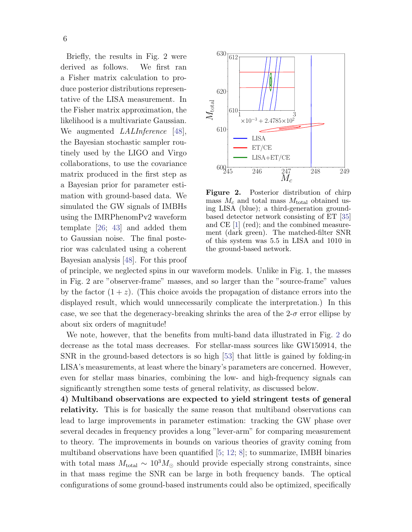Briefly, the results in Fig. 2 were derived as follows. We first ran a Fisher matrix calculation to produce posterior distributions representative of the LISA measurement. In the Fisher matrix approximation, the likelihood is a multivariate Gaussian.

We augmented *LALInference* [\[48\]](#page-8-17), the Bayesian stochastic sampler routinely used by the LIGO and Virgo collaborations, to use the covariance matrix produced in the first step as a Bayesian prior for parameter estimation with ground-based data. We simulated the GW signals of IMBHs using the IMRPhenomPv2 waveform template [\[26;](#page-7-14) [43\]](#page-8-3) and added them to Gaussian noise. The final posterior was calculated using a coherent Bayesian analysis [\[48\]](#page-8-17). For this proof



<span id="page-5-0"></span>Figure 2. Posterior distribution of chirp mass  $M_c$  and total mass  $M_{\text{total}}$  obtained using LISA (blue); a third-generation groundbased detector network consisting of ET [\[35\]](#page-8-2) and CE [\[1\]](#page-7-13) (red); and the combined measurement (dark green). The matched-filter SNR of this system was 5.5 in LISA and 1010 in the ground-based network.

of principle, we neglected spins in our waveform models. Unlike in Fig. 1, the masses in Fig. 2 are "observer-frame" masses, and so larger than the "source-frame" values by the factor  $(1 + z)$ . (This choice avoids the propagation of distance errors into the displayed result, which would unnecessarily complicate the interpretation.) In this case, we see that the degeneracy-breaking shrinks the area of the  $2-\sigma$  error ellipse by about six orders of magnitude!

We note, however, that the benefits from multi-band data illustrated in Fig. [2](#page-5-0) do decrease as the total mass decreases. For stellar-mass sources like GW150914, the SNR in the ground-based detectors is so high [\[53\]](#page-8-18) that little is gained by folding-in LISA's measurements, at least where the binary's parameters are concerned. However, even for stellar mass binaries, combining the low- and high-frequency signals can significantly strengthen some tests of general relativity, as discussed below.

4) Multiband observations are expected to yield stringent tests of general relativity. This is for basically the same reason that multiband observations can lead to large improvements in parameter estimation: tracking the GW phase over several decades in frequency provides a long "lever-arm" for comparing measurement to theory. The improvements in bounds on various theories of gravity coming from multiband observations have been quantified [\[5;](#page-7-29) [12;](#page-7-30) [8\]](#page-7-31); to summarize, IMBH binaries with total mass  $M_{\text{total}} \sim 10^3 M_{\odot}$  should provide especially strong constraints, since in that mass regime the SNR can be large in both frequency bands. The optical configurations of some ground-based instruments could also be optimized, specifically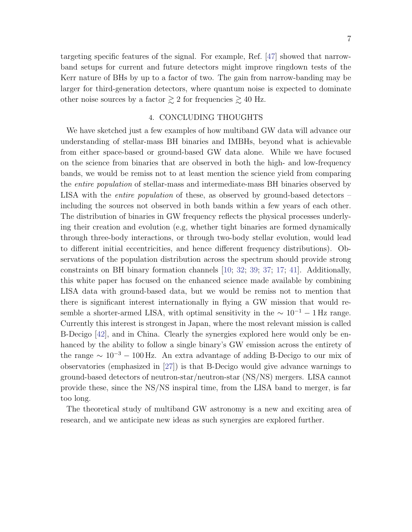targeting specific features of the signal. For example, Ref. [\[47\]](#page-8-19) showed that narrowband setups for current and future detectors might improve ringdown tests of the Kerr nature of BHs by up to a factor of two. The gain from narrow-banding may be larger for third-generation detectors, where quantum noise is expected to dominate other noise sources by a factor  $\gtrsim 2$  for frequencies  $\gtrsim 40$  Hz.

## 4. CONCLUDING THOUGHTS

We have sketched just a few examples of how multiband GW data will advance our understanding of stellar-mass BH binaries and IMBHs, beyond what is achievable from either space-based or ground-based GW data alone. While we have focused on the science from binaries that are observed in both the high- and low-frequency bands, we would be remiss not to at least mention the science yield from comparing the entire population of stellar-mass and intermediate-mass BH binaries observed by LISA with the *entire population* of these, as observed by ground-based detectors  $$ including the sources not observed in both bands within a few years of each other. The distribution of binaries in GW frequency reflects the physical processes underlying their creation and evolution (e.g, whether tight binaries are formed dynamically through three-body interactions, or through two-body stellar evolution, would lead to different initial eccentricities, and hence different frequency distributions). Observations of the population distribution across the spectrum should provide strong constraints on BH binary formation channels [\[10;](#page-7-20) [32;](#page-7-21) [39;](#page-8-8) [37;](#page-8-9) [17;](#page-7-22) [41\]](#page-8-10). Additionally, this white paper has focused on the enhanced science made available by combining LISA data with ground-based data, but we would be remiss not to mention that there is significant interest internationally in flying a GW mission that would resemble a shorter-armed LISA, with optimal sensitivity in the  $\sim 10^{-1} - 1$  Hz range. Currently this interest is strongest in Japan, where the most relevant mission is called B-Decigo [\[42\]](#page-8-20), and in China. Clearly the synergies explored here would only be enhanced by the ability to follow a single binary's GW emission across the entirety of the range  $\sim 10^{-3} - 100$  Hz. An extra advantage of adding B-Decigo to our mix of observatories (emphasized in [\[27\]](#page-7-32)) is that B-Decigo would give advance warnings to ground-based detectors of neutron-star/neutron-star (NS/NS) mergers. LISA cannot provide these, since the NS/NS inspiral time, from the LISA band to merger, is far too long.

The theoretical study of multiband GW astronomy is a new and exciting area of research, and we anticipate new ideas as such synergies are explored further.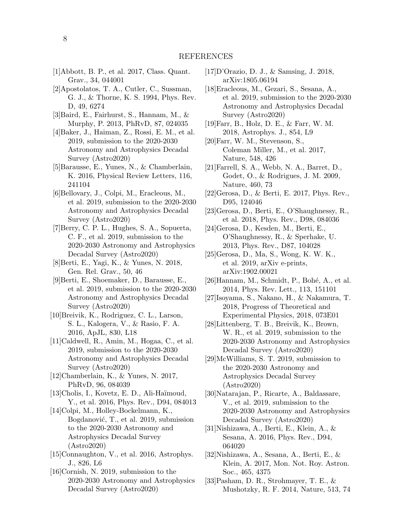### REFERENCES

- <span id="page-7-13"></span>[1]Abbott, B. P., et al. 2017, Class. Quant. Grav., 34, 044001
- <span id="page-7-23"></span>[2]Apostolatos, T. A., Cutler, C., Sussman, G. J., & Thorne, K. S. 1994, Phys. Rev. D, 49, 6274
- <span id="page-7-28"></span>[3]Baird, E., Fairhurst, S., Hannam, M., & Murphy, P. 2013, PhRvD, 87, 024035
- <span id="page-7-6"></span>[4]Baker, J., Haiman, Z., Rossi, E. M., et al. 2019, submission to the 2020-2030 Astronomy and Astrophysics Decadal Survey (Astro2020)
- <span id="page-7-29"></span>[5]Barausse, E., Yunes, N., & Chamberlain, K. 2016, Physical Review Letters, 116, 241104
- <span id="page-7-3"></span>[6]Bellovary, J., Colpi, M., Eracleous, M., et al. 2019, submission to the 2020-2030 Astronomy and Astrophysics Decadal Survey (Astro2020)
- <span id="page-7-7"></span>[7]Berry, C. P. L., Hughes, S. A., Sopuerta, C. F., et al. 2019, submission to the 2020-2030 Astronomy and Astrophysics Decadal Survey (Astro2020)
- <span id="page-7-31"></span>[8]Berti, E., Yagi, K., & Yunes, N. 2018, Gen. Rel. Grav., 50, 46
- <span id="page-7-0"></span>[9]Berti, E., Shoemaker, D., Barausse, E., et al. 2019, submission to the 2020-2030 Astronomy and Astrophysics Decadal Survey (Astro2020)
- <span id="page-7-20"></span>[10]Breivik, K., Rodriguez, C. L., Larson, S. L., Kalogera, V., & Rasio, F. A. 2016, ApJL, 830, L18
- <span id="page-7-4"></span>[11]Caldwell, R., Amin, M., Hogaa, C., et al. 2019, submission to the 2020-2030 Astronomy and Astrophysics Decadal Survey (Astro2020)
- <span id="page-7-30"></span>[12]Chamberlain, K., & Yunes, N. 2017, PhRvD, 96, 084039
- <span id="page-7-15"></span>[13]Cholis, I., Kovetz, E. D., Ali-Haïmoud, Y., et al. 2016, Phys. Rev., D94, 084013
- <span id="page-7-1"></span>[14]Colpi, M., Holley-Bockelmann, K., Bogdanović, T., et al. 2019, submission to the 2020-2030 Astronomy and Astrophysics Decadal Survey (Astro2020)
- <span id="page-7-18"></span>[15]Connaughton, V., et al. 2016, Astrophys. J., 826, L6
- <span id="page-7-9"></span>[16]Cornish, N. 2019, submission to the 2020-2030 Astronomy and Astrophysics Decadal Survey (Astro2020)
- <span id="page-7-22"></span>[17]D'Orazio, D. J., & Samsing, J. 2018, arXiv:1805.06194
- <span id="page-7-10"></span>[18]Eracleous, M., Gezari, S., Sesana, A., et al. 2019, submission to the 2020-2030 Astronomy and Astrophysics Decadal Survey (Astro2020)
- <span id="page-7-26"></span>[19]Farr, B., Holz, D. E., & Farr, W. M. 2018, Astrophys. J., 854, L9
- <span id="page-7-25"></span>[20]Farr, W. M., Stevenson, S., Coleman Miller, M., et al. 2017, Nature, 548, 426
- <span id="page-7-11"></span>[21]Farrell, S. A., Webb, N. A., Barret, D., Godet, O., & Rodrigues, J. M. 2009, Nature, 460, 73
- <span id="page-7-16"></span>[22]Gerosa, D., & Berti, E. 2017, Phys. Rev., D95, 124046
- <span id="page-7-27"></span>[23]Gerosa, D., Berti, E., O'Shaughnessy, R., et al. 2018, Phys. Rev., D98, 084036
- <span id="page-7-24"></span>[24]Gerosa, D., Kesden, M., Berti, E., O'Shaughnessy, R., & Sperhake, U. 2013, Phys. Rev., D87, 104028
- <span id="page-7-17"></span>[25]Gerosa, D., Ma, S., Wong, K. W. K., et al. 2019, arXiv e-prints, arXiv:1902.00021
- <span id="page-7-14"></span> $[26]$ Hannam, M., Schmidt, P., Bohé, A., et al. 2014, Phys. Rev. Lett., 113, 151101
- <span id="page-7-32"></span>[27]Isoyama, S., Nakano, H., & Nakamura, T. 2018, Progress of Theoretical and Experimental Physics, 2018, 073E01
- <span id="page-7-5"></span>[28]Littenberg, T. B., Breivik, K., Brown, W. R., et al. 2019, submission to the 2020-2030 Astronomy and Astrophysics Decadal Survey (Astro2020)
- <span id="page-7-8"></span>[29]McWilliams, S. T. 2019, submission to the 2020-2030 Astronomy and Astrophysics Decadal Survey (Astro2020)
- <span id="page-7-2"></span>[30]Natarajan, P., Ricarte, A., Baldassare, V., et al. 2019, submission to the 2020-2030 Astronomy and Astrophysics Decadal Survey (Astro2020)
- <span id="page-7-19"></span>[31]Nishizawa, A., Berti, E., Klein, A., & Sesana, A. 2016, Phys. Rev., D94, 064020
- <span id="page-7-21"></span>[32]Nishizawa, A., Sesana, A., Berti, E., & Klein, A. 2017, Mon. Not. Roy. Astron. Soc., 465, 4375
- <span id="page-7-12"></span>[33]Pasham, D. R., Strohmayer, T. E., & Mushotzky, R. F. 2014, Nature, 513, 74